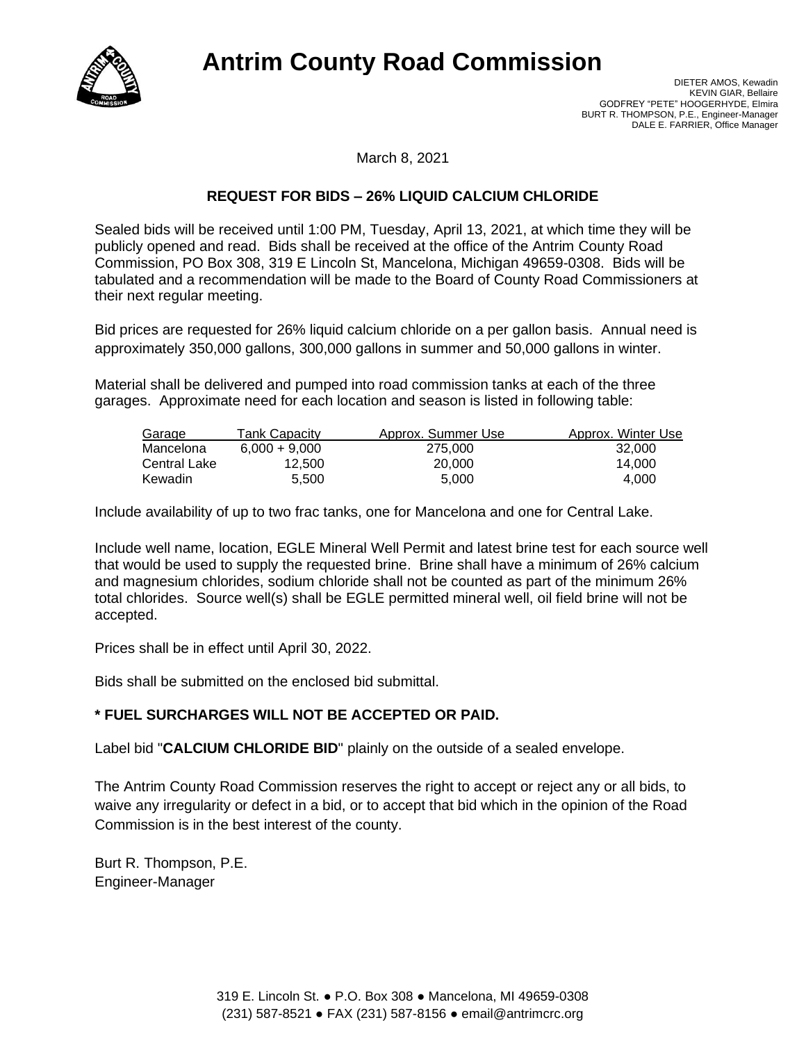

## **Antrim County Road Commission**

March 8, 2021

## **REQUEST FOR BIDS – 26% LIQUID CALCIUM CHLORIDE**

Sealed bids will be received until 1:00 PM, Tuesday, April 13, 2021, at which time they will be publicly opened and read. Bids shall be received at the office of the Antrim County Road Commission, PO Box 308, 319 E Lincoln St, Mancelona, Michigan 49659-0308. Bids will be tabulated and a recommendation will be made to the Board of County Road Commissioners at their next regular meeting.

Bid prices are requested for 26% liquid calcium chloride on a per gallon basis. Annual need is approximately 350,000 gallons, 300,000 gallons in summer and 50,000 gallons in winter.

Material shall be delivered and pumped into road commission tanks at each of the three garages. Approximate need for each location and season is listed in following table:

| Garage         | Tank Capacitv   | Approx. Summer Use | Approx. Winter Use |
|----------------|-----------------|--------------------|--------------------|
| Mancelona      | $6.000 + 9.000$ | 275,000            | 32.000             |
| Central Lake   | 12.500          | 20,000             | 14.000             |
| <b>Kewadin</b> | 5.500           | 5.000              | 4.000              |

Include availability of up to two frac tanks, one for Mancelona and one for Central Lake.

Include well name, location, EGLE Mineral Well Permit and latest brine test for each source well that would be used to supply the requested brine. Brine shall have a minimum of 26% calcium and magnesium chlorides, sodium chloride shall not be counted as part of the minimum 26% total chlorides. Source well(s) shall be EGLE permitted mineral well, oil field brine will not be accepted.

Prices shall be in effect until April 30, 2022.

Bids shall be submitted on the enclosed bid submittal.

## **\* FUEL SURCHARGES WILL NOT BE ACCEPTED OR PAID.**

Label bid "**CALCIUM CHLORIDE BID**" plainly on the outside of a sealed envelope.

The Antrim County Road Commission reserves the right to accept or reject any or all bids, to waive any irregularity or defect in a bid, or to accept that bid which in the opinion of the Road Commission is in the best interest of the county.

Burt R. Thompson, P.E. Engineer-Manager